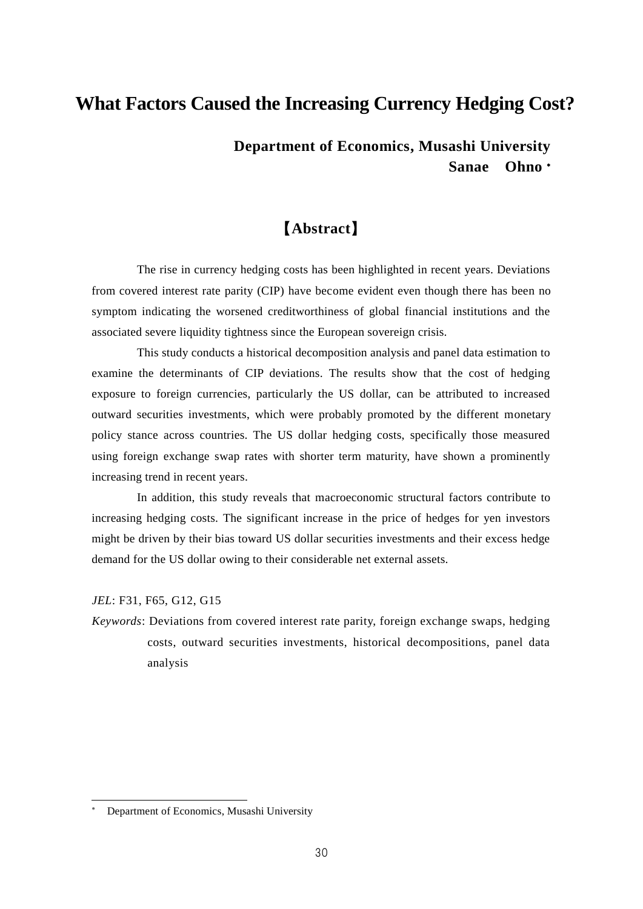## **What Factors Caused the Increasing Currency Hedging Cost?**

## **Department of Economics, Musashi University Sanae Ohno**

# 【**Abstract**】

The rise in currency hedging costs has been highlighted in recent years. Deviations from covered interest rate parity (CIP) have become evident even though there has been no symptom indicating the worsened creditworthiness of global financial institutions and the associated severe liquidity tightness since the European sovereign crisis.

This study conducts a historical decomposition analysis and panel data estimation to examine the determinants of CIP deviations. The results show that the cost of hedging exposure to foreign currencies, particularly the US dollar, can be attributed to increased outward securities investments, which were probably promoted by the different monetary policy stance across countries. The US dollar hedging costs, specifically those measured using foreign exchange swap rates with shorter term maturity, have shown a prominently increasing trend in recent years.

In addition, this study reveals that macroeconomic structural factors contribute to increasing hedging costs. The significant increase in the price of hedges for yen investors might be driven by their bias toward US dollar securities investments and their excess hedge demand for the US dollar owing to their considerable net external assets.

*JEL*: F31, F65, G12, G15

 $\overline{a}$ 

*Keywords*: Deviations from covered interest rate parity, foreign exchange swaps, hedging costs, outward securities investments, historical decompositions, panel data analysis

Department of Economics, Musashi University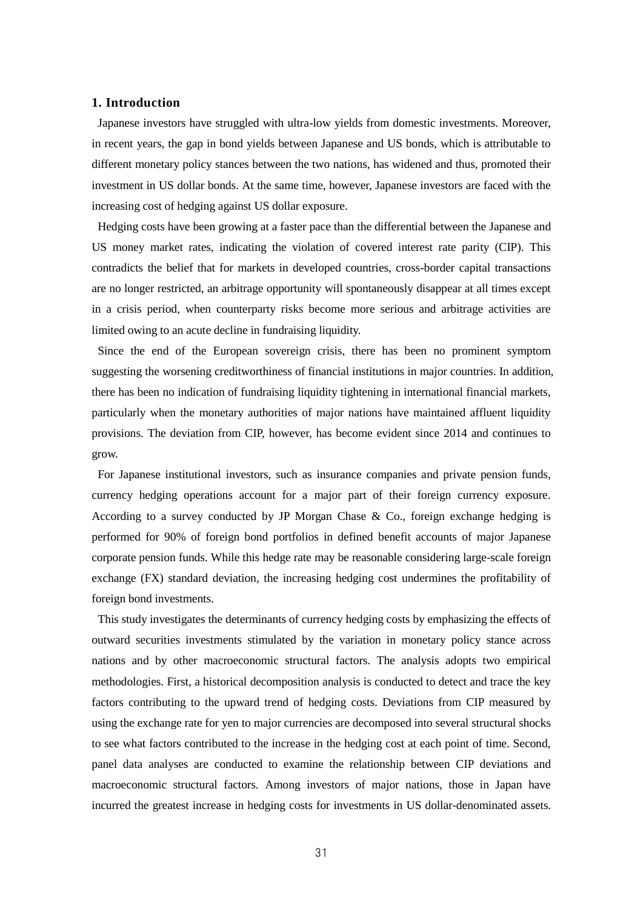#### **1. Introduction**

Japanese investors have struggled with ultra-low yields from domestic investments. Moreover, in recent years, the gap in bond yields between Japanese and US bonds, which is attributable to different monetary policy stances between the two nations, has widened and thus, promoted their investment in US dollar bonds. At the same time, however, Japanese investors are faced with the increasing cost of hedging against US dollar exposure.

Hedging costs have been growing at a faster pace than the differential between the Japanese and US money market rates, indicating the violation of covered interest rate parity (CIP). This contradicts the belief that for markets in developed countries, cross-border capital transactions are no longer restricted, an arbitrage opportunity will spontaneously disappear at all times except in a crisis period, when counterparty risks become more serious and arbitrage activities are limited owing to an acute decline in fundraising liquidity.

Since the end of the European sovereign crisis, there has been no prominent symptom suggesting the worsening creditworthiness of financial institutions in major countries. In addition, there has been no indication of fundraising liquidity tightening in international financial markets, particularly when the monetary authorities of major nations have maintained affluent liquidity provisions. The deviation from CIP, however, has become evident since 2014 and continues to grow.

For Japanese institutional investors, such as insurance companies and private pension funds, currency hedging operations account for a major part of their foreign currency exposure. According to a survey conducted by JP Morgan Chase & Co., foreign exchange hedging is performed for 90% of foreign bond portfolios in defined benefit accounts of major Japanese corporate pension funds. While this hedge rate may be reasonable considering large-scale foreign exchange (FX) standard deviation, the increasing hedging cost undermines the profitability of foreign bond investments.

This study investigates the determinants of currency hedging costs by emphasizing the effects of outward securities investments stimulated by the variation in monetary policy stance across nations and by other macroeconomic structural factors. The analysis adopts two empirical methodologies. First, a historical decomposition analysis is conducted to detect and trace the key factors contributing to the upward trend of hedging costs. Deviations from CIP measured by using the exchange rate for yen to major currencies are decomposed into several structural shocks to see what factors contributed to the increase in the hedging cost at each point of time. Second, panel data analyses are conducted to examine the relationship between CIP deviations and macroeconomic structural factors. Among investors of major nations, those in Japan have incurred the greatest increase in hedging costs for investments in US dollar-denominated assets.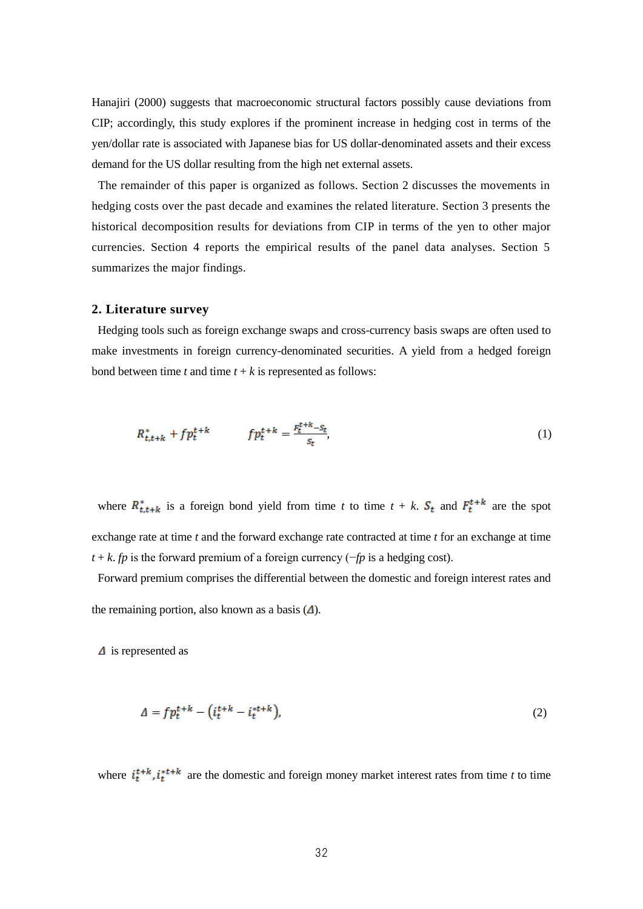Hanajiri (2000) suggests that macroeconomic structural factors possibly cause deviations from CIP; accordingly, this study explores if the prominent increase in hedging cost in terms of the yen/dollar rate is associated with Japanese bias for US dollar-denominated assets and their excess demand for the US dollar resulting from the high net external assets.

The remainder of this paper is organized as follows. Section 2 discusses the movements in hedging costs over the past decade and examines the related literature. Section 3 presents the historical decomposition results for deviations from CIP in terms of the yen to other major currencies. Section 4 reports the empirical results of the panel data analyses. Section 5 summarizes the major findings.

#### **2. Literature survey**

Hedging tools such as foreign exchange swaps and cross-currency basis swaps are often used to make investments in foreign currency-denominated securities. A yield from a hedged foreign bond between time  $t$  and time  $t + k$  is represented as follows:

$$
R_{t,t+k}^* + f p_t^{t+k} \qquad f p_t^{t+k} = \frac{F_t^{t+k} - S_t}{S_t},\tag{1}
$$

where  $R_{t,t+k}^*$  is a foreign bond yield from time *t* to time  $t + k$ .  $S_t$  and  $F_t^{t+k}$  are the spot exchange rate at time *t* and the forward exchange rate contracted at time *t* for an exchange at time *t* + *k*. *fp* is the forward premium of a foreign currency (−*fp* is a hedging cost).

Forward premium comprises the differential between the domestic and foreign interest rates and the remaining portion, also known as a basis  $(\Delta)$ .

 $\Delta$  is represented as

$$
\Delta = f p_t^{t+k} - \left(i_t^{t+k} - i_t^{t+k}\right),\tag{2}
$$

where  $i_t^{t+k}$ ,  $i_t^{t+k}$  are the domestic and foreign money market interest rates from time *t* to time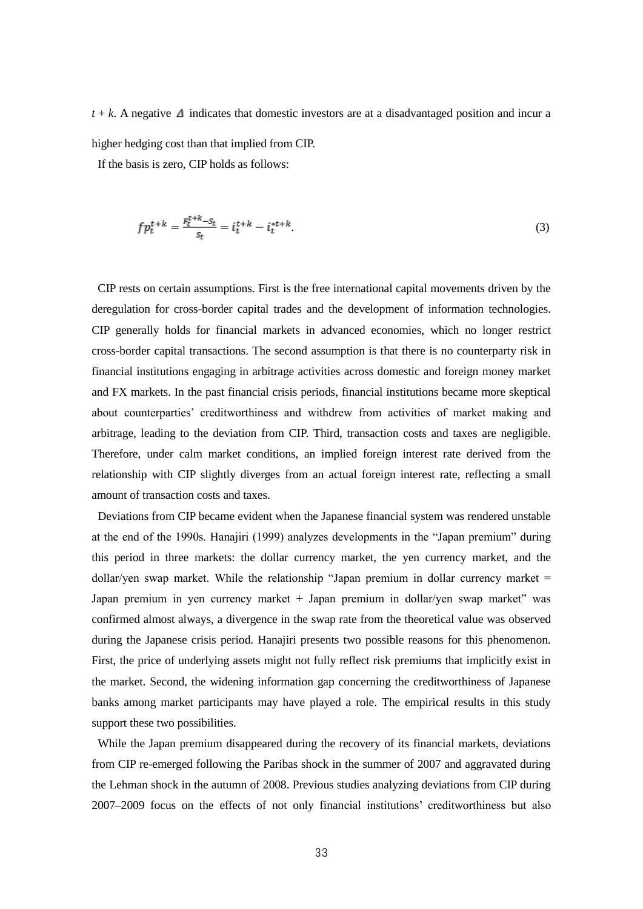$t + k$ . A negative  $\Delta$  indicates that domestic investors are at a disadvantaged position and incur a higher hedging cost than that implied from CIP.

If the basis is zero, CIP holds as follows:

$$
fp_t^{t+k} = \frac{F_t^{t+k} - S_t}{S_t} = i_t^{t+k} - i_t^{t+k}.
$$
\n(3)

CIP rests on certain assumptions. First is the free international capital movements driven by the deregulation for cross-border capital trades and the development of information technologies. CIP generally holds for financial markets in advanced economies, which no longer restrict cross-border capital transactions. The second assumption is that there is no counterparty risk in financial institutions engaging in arbitrage activities across domestic and foreign money market and FX markets. In the past financial crisis periods, financial institutions became more skeptical about counterparties' creditworthiness and withdrew from activities of market making and arbitrage, leading to the deviation from CIP. Third, transaction costs and taxes are negligible. Therefore, under calm market conditions, an implied foreign interest rate derived from the relationship with CIP slightly diverges from an actual foreign interest rate, reflecting a small amount of transaction costs and taxes.

Deviations from CIP became evident when the Japanese financial system was rendered unstable at the end of the 1990s. Hanajiri (1999) analyzes developments in the "Japan premium" during this period in three markets: the dollar currency market, the yen currency market, and the dollar/yen swap market. While the relationship "Japan premium in dollar currency market = Japan premium in yen currency market + Japan premium in dollar/yen swap market" was confirmed almost always, a divergence in the swap rate from the theoretical value was observed during the Japanese crisis period. Hanajiri presents two possible reasons for this phenomenon. First, the price of underlying assets might not fully reflect risk premiums that implicitly exist in the market. Second, the widening information gap concerning the creditworthiness of Japanese banks among market participants may have played a role. The empirical results in this study support these two possibilities.

While the Japan premium disappeared during the recovery of its financial markets, deviations from CIP re-emerged following the Paribas shock in the summer of 2007 and aggravated during the Lehman shock in the autumn of 2008. Previous studies analyzing deviations from CIP during 2007–2009 focus on the effects of not only financial institutions' creditworthiness but also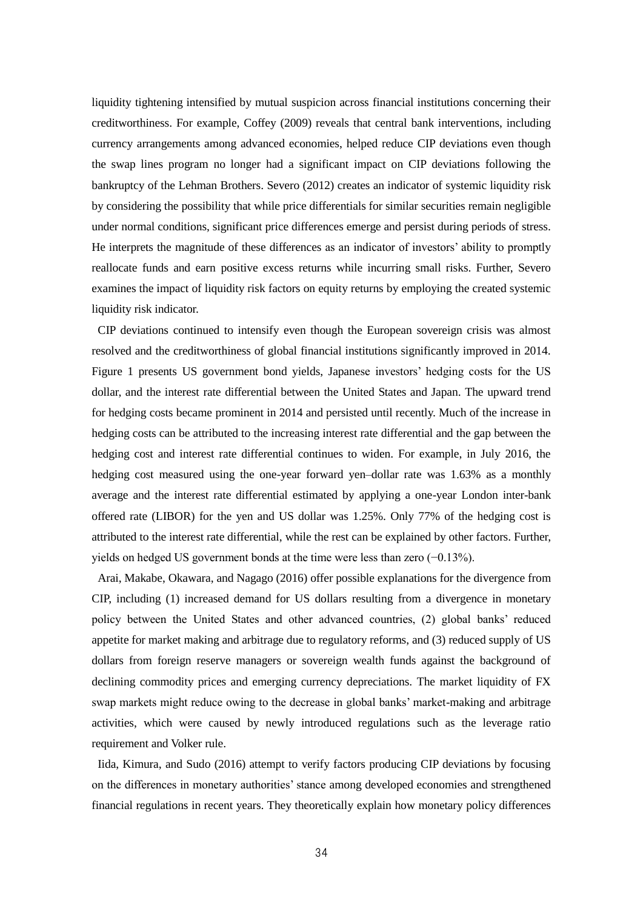liquidity tightening intensified by mutual suspicion across financial institutions concerning their creditworthiness. For example, Coffey (2009) reveals that central bank interventions, including currency arrangements among advanced economies, helped reduce CIP deviations even though the swap lines program no longer had a significant impact on CIP deviations following the bankruptcy of the Lehman Brothers. Severo (2012) creates an indicator of systemic liquidity risk by considering the possibility that while price differentials for similar securities remain negligible under normal conditions, significant price differences emerge and persist during periods of stress. He interprets the magnitude of these differences as an indicator of investors' ability to promptly reallocate funds and earn positive excess returns while incurring small risks. Further, Severo examines the impact of liquidity risk factors on equity returns by employing the created systemic liquidity risk indicator.

CIP deviations continued to intensify even though the European sovereign crisis was almost resolved and the creditworthiness of global financial institutions significantly improved in 2014. Figure 1 presents US government bond yields, Japanese investors' hedging costs for the US dollar, and the interest rate differential between the United States and Japan. The upward trend for hedging costs became prominent in 2014 and persisted until recently. Much of the increase in hedging costs can be attributed to the increasing interest rate differential and the gap between the hedging cost and interest rate differential continues to widen. For example, in July 2016, the hedging cost measured using the one-year forward yen–dollar rate was 1.63% as a monthly average and the interest rate differential estimated by applying a one-year London inter-bank offered rate (LIBOR) for the yen and US dollar was 1.25%. Only 77% of the hedging cost is attributed to the interest rate differential, while the rest can be explained by other factors. Further, yields on hedged US government bonds at the time were less than zero (−0.13%).

Arai, Makabe, Okawara, and Nagago (2016) offer possible explanations for the divergence from CIP, including (1) increased demand for US dollars resulting from a divergence in monetary policy between the United States and other advanced countries, (2) global banks' reduced appetite for market making and arbitrage due to regulatory reforms, and (3) reduced supply of US dollars from foreign reserve managers or sovereign wealth funds against the background of declining commodity prices and emerging currency depreciations. The market liquidity of FX swap markets might reduce owing to the decrease in global banks' market-making and arbitrage activities, which were caused by newly introduced regulations such as the leverage ratio requirement and Volker rule.

Iida, Kimura, and Sudo (2016) attempt to verify factors producing CIP deviations by focusing on the differences in monetary authorities' stance among developed economies and strengthened financial regulations in recent years. They theoretically explain how monetary policy differences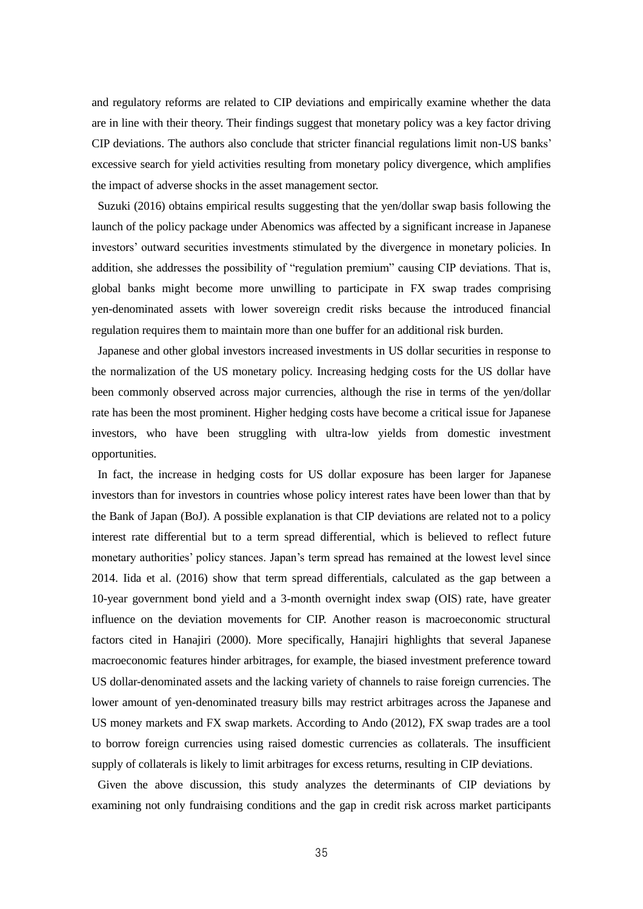and regulatory reforms are related to CIP deviations and empirically examine whether the data are in line with their theory. Their findings suggest that monetary policy was a key factor driving CIP deviations. The authors also conclude that stricter financial regulations limit non-US banks' excessive search for yield activities resulting from monetary policy divergence, which amplifies the impact of adverse shocks in the asset management sector.

Suzuki (2016) obtains empirical results suggesting that the yen/dollar swap basis following the launch of the policy package under Abenomics was affected by a significant increase in Japanese investors' outward securities investments stimulated by the divergence in monetary policies. In addition, she addresses the possibility of "regulation premium" causing CIP deviations. That is, global banks might become more unwilling to participate in FX swap trades comprising yen-denominated assets with lower sovereign credit risks because the introduced financial regulation requires them to maintain more than one buffer for an additional risk burden.

Japanese and other global investors increased investments in US dollar securities in response to the normalization of the US monetary policy. Increasing hedging costs for the US dollar have been commonly observed across major currencies, although the rise in terms of the yen/dollar rate has been the most prominent. Higher hedging costs have become a critical issue for Japanese investors, who have been struggling with ultra-low yields from domestic investment opportunities.

In fact, the increase in hedging costs for US dollar exposure has been larger for Japanese investors than for investors in countries whose policy interest rates have been lower than that by the Bank of Japan (BoJ). A possible explanation is that CIP deviations are related not to a policy interest rate differential but to a term spread differential, which is believed to reflect future monetary authorities' policy stances. Japan's term spread has remained at the lowest level since 2014. Iida et al. (2016) show that term spread differentials, calculated as the gap between a 10-year government bond yield and a 3-month overnight index swap (OIS) rate, have greater influence on the deviation movements for CIP. Another reason is macroeconomic structural factors cited in Hanajiri (2000). More specifically, Hanajiri highlights that several Japanese macroeconomic features hinder arbitrages, for example, the biased investment preference toward US dollar-denominated assets and the lacking variety of channels to raise foreign currencies. The lower amount of yen-denominated treasury bills may restrict arbitrages across the Japanese and US money markets and FX swap markets. According to Ando (2012), FX swap trades are a tool to borrow foreign currencies using raised domestic currencies as collaterals. The insufficient supply of collaterals is likely to limit arbitrages for excess returns, resulting in CIP deviations.

Given the above discussion, this study analyzes the determinants of CIP deviations by examining not only fundraising conditions and the gap in credit risk across market participants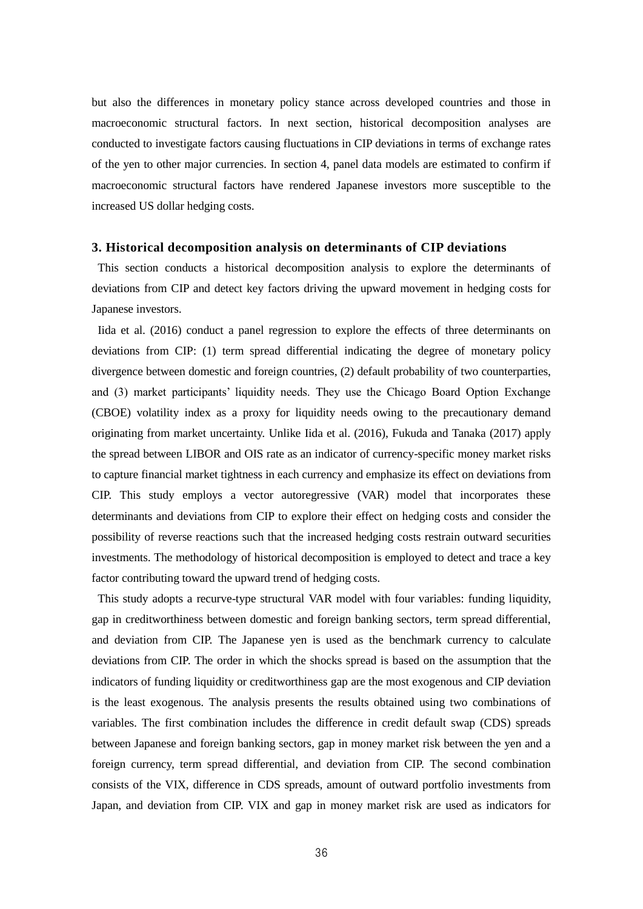but also the differences in monetary policy stance across developed countries and those in macroeconomic structural factors. In next section, historical decomposition analyses are conducted to investigate factors causing fluctuations in CIP deviations in terms of exchange rates of the yen to other major currencies. In section 4, panel data models are estimated to confirm if macroeconomic structural factors have rendered Japanese investors more susceptible to the increased US dollar hedging costs.

#### **3. Historical decomposition analysis on determinants of CIP deviations**

This section conducts a historical decomposition analysis to explore the determinants of deviations from CIP and detect key factors driving the upward movement in hedging costs for Japanese investors.

Iida et al. (2016) conduct a panel regression to explore the effects of three determinants on deviations from CIP: (1) term spread differential indicating the degree of monetary policy divergence between domestic and foreign countries, (2) default probability of two counterparties, and (3) market participants' liquidity needs. They use the Chicago Board Option Exchange (CBOE) volatility index as a proxy for liquidity needs owing to the precautionary demand originating from market uncertainty. Unlike Iida et al. (2016), Fukuda and Tanaka (2017) apply the spread between LIBOR and OIS rate as an indicator of currency-specific money market risks to capture financial market tightness in each currency and emphasize its effect on deviations from CIP. This study employs a vector autoregressive (VAR) model that incorporates these determinants and deviations from CIP to explore their effect on hedging costs and consider the possibility of reverse reactions such that the increased hedging costs restrain outward securities investments. The methodology of historical decomposition is employed to detect and trace a key factor contributing toward the upward trend of hedging costs.

This study adopts a recurve-type structural VAR model with four variables: funding liquidity, gap in creditworthiness between domestic and foreign banking sectors, term spread differential, and deviation from CIP. The Japanese yen is used as the benchmark currency to calculate deviations from CIP. The order in which the shocks spread is based on the assumption that the indicators of funding liquidity or creditworthiness gap are the most exogenous and CIP deviation is the least exogenous. The analysis presents the results obtained using two combinations of variables. The first combination includes the difference in credit default swap (CDS) spreads between Japanese and foreign banking sectors, gap in money market risk between the yen and a foreign currency, term spread differential, and deviation from CIP. The second combination consists of the VIX, difference in CDS spreads, amount of outward portfolio investments from Japan, and deviation from CIP. VIX and gap in money market risk are used as indicators for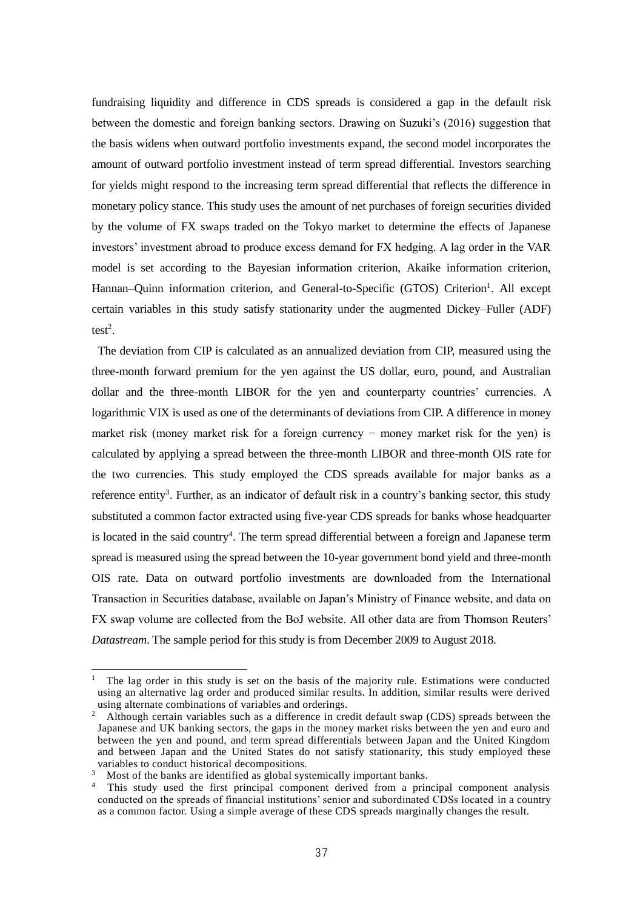fundraising liquidity and difference in CDS spreads is considered a gap in the default risk between the domestic and foreign banking sectors. Drawing on Suzuki's (2016) suggestion that the basis widens when outward portfolio investments expand, the second model incorporates the amount of outward portfolio investment instead of term spread differential. Investors searching for yields might respond to the increasing term spread differential that reflects the difference in monetary policy stance. This study uses the amount of net purchases of foreign securities divided by the volume of FX swaps traded on the Tokyo market to determine the effects of Japanese investors' investment abroad to produce excess demand for FX hedging. A lag order in the VAR model is set according to the Bayesian information criterion, Akaike information criterion, Hannan–Quinn information criterion, and General-to-Specific (GTOS) Criterion<sup>1</sup>. All except certain variables in this study satisfy stationarity under the augmented Dickey–Fuller (ADF) test<sup>2</sup>.

The deviation from CIP is calculated as an annualized deviation from CIP, measured using the three-month forward premium for the yen against the US dollar, euro, pound, and Australian dollar and the three-month LIBOR for the yen and counterparty countries' currencies. A logarithmic VIX is used as one of the determinants of deviations from CIP. A difference in money market risk (money market risk for a foreign currency − money market risk for the yen) is calculated by applying a spread between the three-month LIBOR and three-month OIS rate for the two currencies. This study employed the CDS spreads available for major banks as a reference entity<sup>3</sup>. Further, as an indicator of default risk in a country's banking sector, this study substituted a common factor extracted using five-year CDS spreads for banks whose headquarter is located in the said country<sup>4</sup>. The term spread differential between a foreign and Japanese term spread is measured using the spread between the 10-year government bond yield and three-month OIS rate. Data on outward portfolio investments are downloaded from the International Transaction in Securities database, available on Japan's Ministry of Finance website, and data on FX swap volume are collected from the BoJ website. All other data are from Thomson Reuters' *Datastream*. The sample period for this study is from December 2009 to August 2018.

 $\overline{a}$ 

<sup>&</sup>lt;sup>1</sup> The lag order in this study is set on the basis of the majority rule. Estimations were conducted using an alternative lag order and produced similar results. In addition, similar results were derived using alternate combinations of variables and orderings.<br> $\frac{2}{\pi}$  Although certain variables such as a difference in cre

<sup>2</sup> Although certain variables such as a difference in credit default swap (CDS) spreads between the Japanese and UK banking sectors, the gaps in the money market risks between the yen and euro and between the yen and pound, and term spread differentials between Japan and the United Kingdom and between Japan and the United States do not satisfy stationarity, this study employed these variables to conduct historical decompositions.

<sup>&</sup>lt;sup>3</sup> Most of the banks are identified as global systemically important banks.

<sup>&</sup>lt;sup>4</sup> This study used the first principal component derived from a principal component analysis conducted on the spreads of financial institutions' senior and subordinated CDSs located in a country as a common factor. Using a simple average of these CDS spreads marginally changes the result.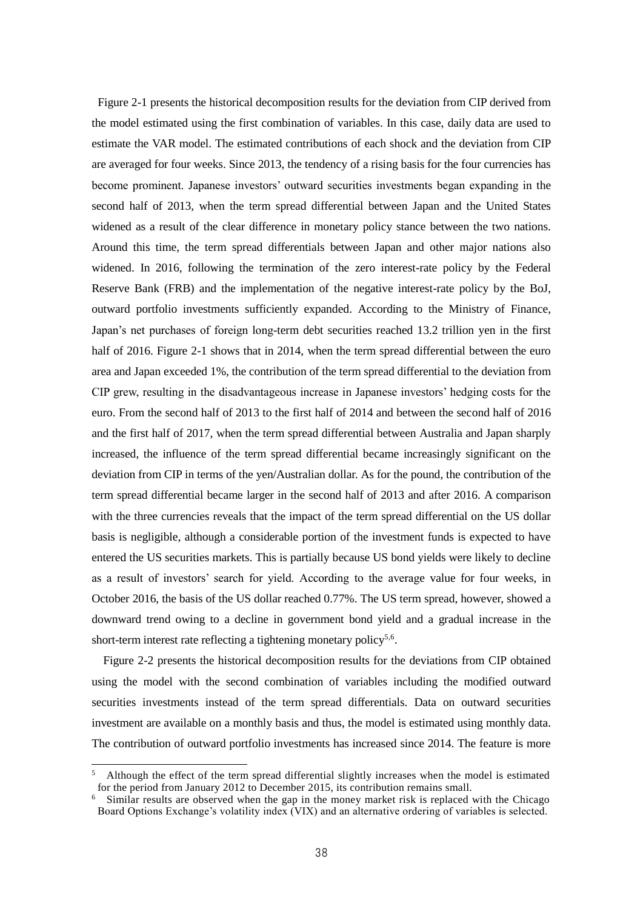Figure 2-1 presents the historical decomposition results for the deviation from CIP derived from the model estimated using the first combination of variables. In this case, daily data are used to estimate the VAR model. The estimated contributions of each shock and the deviation from CIP are averaged for four weeks. Since 2013, the tendency of a rising basis for the four currencies has become prominent. Japanese investors' outward securities investments began expanding in the second half of 2013, when the term spread differential between Japan and the United States widened as a result of the clear difference in monetary policy stance between the two nations. Around this time, the term spread differentials between Japan and other major nations also widened. In 2016, following the termination of the zero interest-rate policy by the Federal Reserve Bank (FRB) and the implementation of the negative interest-rate policy by the BoJ, outward portfolio investments sufficiently expanded. According to the Ministry of Finance, Japan's net purchases of foreign long-term debt securities reached 13.2 trillion yen in the first half of 2016. Figure 2-1 shows that in 2014, when the term spread differential between the euro area and Japan exceeded 1%, the contribution of the term spread differential to the deviation from CIP grew, resulting in the disadvantageous increase in Japanese investors' hedging costs for the euro. From the second half of 2013 to the first half of 2014 and between the second half of 2016 and the first half of 2017, when the term spread differential between Australia and Japan sharply increased, the influence of the term spread differential became increasingly significant on the deviation from CIP in terms of the yen/Australian dollar. As for the pound, the contribution of the term spread differential became larger in the second half of 2013 and after 2016. A comparison with the three currencies reveals that the impact of the term spread differential on the US dollar basis is negligible, although a considerable portion of the investment funds is expected to have entered the US securities markets. This is partially because US bond yields were likely to decline as a result of investors' search for yield. According to the average value for four weeks, in October 2016, the basis of the US dollar reached 0.77%. The US term spread, however, showed a downward trend owing to a decline in government bond yield and a gradual increase in the short-term interest rate reflecting a tightening monetary policy<sup>5,6</sup>.

Figure 2-2 presents the historical decomposition results for the deviations from CIP obtained using the model with the second combination of variables including the modified outward securities investments instead of the term spread differentials. Data on outward securities investment are available on a monthly basis and thus, the model is estimated using monthly data. The contribution of outward portfolio investments has increased since 2014. The feature is more

 $\overline{a}$ 

<sup>5</sup> Although the effect of the term spread differential slightly increases when the model is estimated for the period from January 2012 to December 2015, its contribution remains small.

<sup>&</sup>lt;sup>6</sup> Similar results are observed when the gap in the money market risk is replaced with the Chicago Board Options Exchange's volatility index (VIX) and an alternative ordering of variables is selected.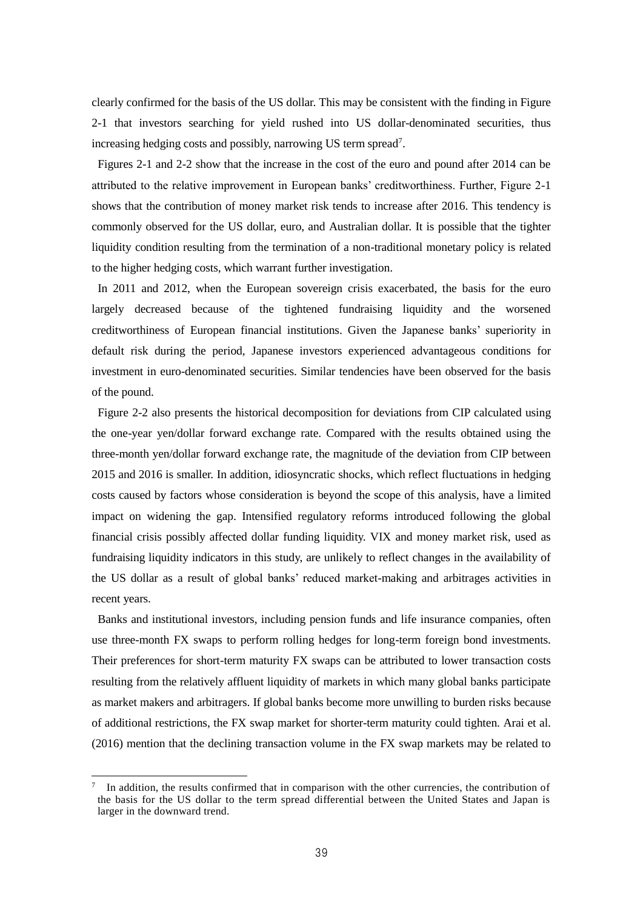clearly confirmed for the basis of the US dollar. This may be consistent with the finding in Figure 2-1 that investors searching for yield rushed into US dollar-denominated securities, thus increasing hedging costs and possibly, narrowing US term spread<sup>7</sup>.

Figures 2-1 and 2-2 show that the increase in the cost of the euro and pound after 2014 can be attributed to the relative improvement in European banks' creditworthiness. Further, Figure 2-1 shows that the contribution of money market risk tends to increase after 2016. This tendency is commonly observed for the US dollar, euro, and Australian dollar. It is possible that the tighter liquidity condition resulting from the termination of a non-traditional monetary policy is related to the higher hedging costs, which warrant further investigation.

In 2011 and 2012, when the European sovereign crisis exacerbated, the basis for the euro largely decreased because of the tightened fundraising liquidity and the worsened creditworthiness of European financial institutions. Given the Japanese banks' superiority in default risk during the period, Japanese investors experienced advantageous conditions for investment in euro-denominated securities. Similar tendencies have been observed for the basis of the pound.

Figure 2-2 also presents the historical decomposition for deviations from CIP calculated using the one-year yen/dollar forward exchange rate. Compared with the results obtained using the three-month yen/dollar forward exchange rate, the magnitude of the deviation from CIP between 2015 and 2016 is smaller. In addition, idiosyncratic shocks, which reflect fluctuations in hedging costs caused by factors whose consideration is beyond the scope of this analysis, have a limited impact on widening the gap. Intensified regulatory reforms introduced following the global financial crisis possibly affected dollar funding liquidity. VIX and money market risk, used as fundraising liquidity indicators in this study, are unlikely to reflect changes in the availability of the US dollar as a result of global banks' reduced market-making and arbitrages activities in recent years.

Banks and institutional investors, including pension funds and life insurance companies, often use three-month FX swaps to perform rolling hedges for long-term foreign bond investments. Their preferences for short-term maturity FX swaps can be attributed to lower transaction costs resulting from the relatively affluent liquidity of markets in which many global banks participate as market makers and arbitragers. If global banks become more unwilling to burden risks because of additional restrictions, the FX swap market for shorter-term maturity could tighten. Arai et al. (2016) mention that the declining transaction volume in the FX swap markets may be related to

l

<sup>7</sup> In addition, the results confirmed that in comparison with the other currencies, the contribution of the basis for the US dollar to the term spread differential between the United States and Japan is larger in the downward trend.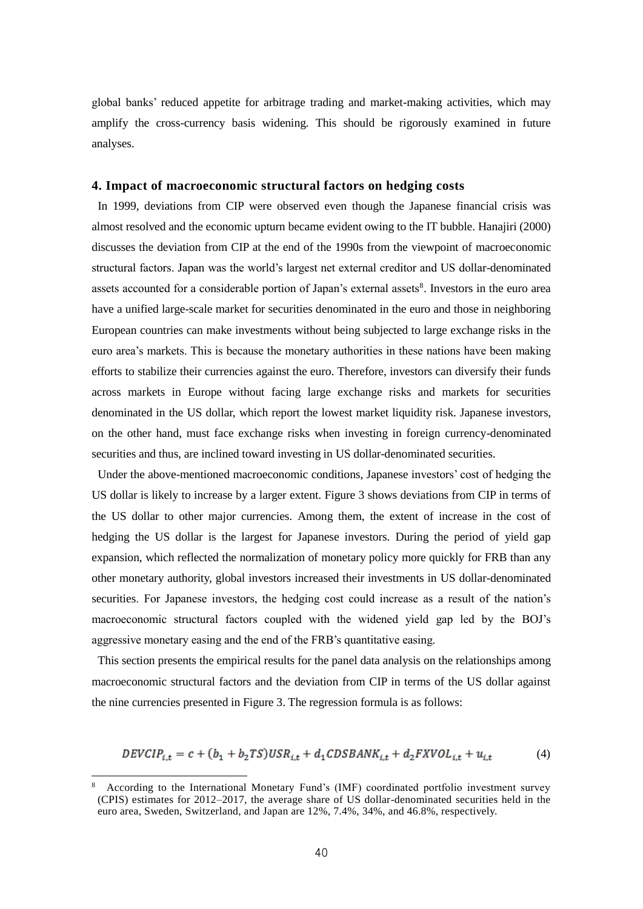global banks' reduced appetite for arbitrage trading and market-making activities, which may amplify the cross-currency basis widening. This should be rigorously examined in future analyses.

### **4. Impact of macroeconomic structural factors on hedging costs**

In 1999, deviations from CIP were observed even though the Japanese financial crisis was almost resolved and the economic upturn became evident owing to the IT bubble. Hanajiri (2000) discusses the deviation from CIP at the end of the 1990s from the viewpoint of macroeconomic structural factors. Japan was the world's largest net external creditor and US dollar-denominated assets accounted for a considerable portion of Japan's external assets<sup>8</sup>. Investors in the euro area have a unified large-scale market for securities denominated in the euro and those in neighboring European countries can make investments without being subjected to large exchange risks in the euro area's markets. This is because the monetary authorities in these nations have been making efforts to stabilize their currencies against the euro. Therefore, investors can diversify their funds across markets in Europe without facing large exchange risks and markets for securities denominated in the US dollar, which report the lowest market liquidity risk. Japanese investors, on the other hand, must face exchange risks when investing in foreign currency-denominated securities and thus, are inclined toward investing in US dollar-denominated securities.

Under the above-mentioned macroeconomic conditions, Japanese investors' cost of hedging the US dollar is likely to increase by a larger extent. Figure 3 shows deviations from CIP in terms of the US dollar to other major currencies. Among them, the extent of increase in the cost of hedging the US dollar is the largest for Japanese investors. During the period of yield gap expansion, which reflected the normalization of monetary policy more quickly for FRB than any other monetary authority, global investors increased their investments in US dollar-denominated securities. For Japanese investors, the hedging cost could increase as a result of the nation's macroeconomic structural factors coupled with the widened yield gap led by the BOJ's aggressive monetary easing and the end of the FRB's quantitative easing.

This section presents the empirical results for the panel data analysis on the relationships among macroeconomic structural factors and the deviation from CIP in terms of the US dollar against the nine currencies presented in Figure 3. The regression formula is as follows:

$$
DEVCIP_{i,t} = c + (b_1 + b_2 TS)USR_{i,t} + d_1 CDSBANK_{i,t} + d_2 FXVOL_{i,t} + u_{i,t}
$$
 (4)

l

<sup>8</sup> According to the International Monetary Fund's (IMF) coordinated portfolio investment survey (CPIS) estimates for 2012–2017, the average share of US dollar-denominated securities held in the euro area, Sweden, Switzerland, and Japan are 12%, 7.4%, 34%, and 46.8%, respectively.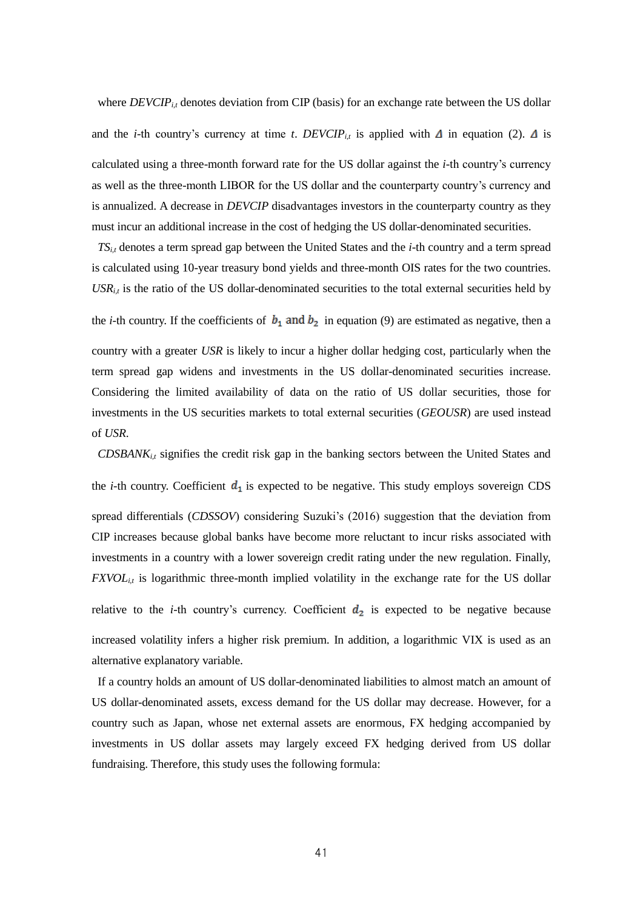where *DEVCIP*<sub>*i,t*</sub> denotes deviation from CIP (basis) for an exchange rate between the US dollar

and the *i*-th country's currency at time *t*. *DEVCIP*<sub>*i*,t</sub> is applied with  $\Delta$  in equation (2).  $\Delta$  is calculated using a three-month forward rate for the US dollar against the *i-*th country's currency as well as the three-month LIBOR for the US dollar and the counterparty country's currency and is annualized. A decrease in *DEVCIP* disadvantages investors in the counterparty country as they must incur an additional increase in the cost of hedging the US dollar-denominated securities.

*TSi,t* denotes a term spread gap between the United States and the *i-*th country and a term spread is calculated using 10-year treasury bond yields and three-month OIS rates for the two countries.  $USR<sub>i,t</sub>$  is the ratio of the US dollar-denominated securities to the total external securities held by

the *i*-th country. If the coefficients of  $b_1$  and  $b_2$  in equation (9) are estimated as negative, then a

country with a greater *USR* is likely to incur a higher dollar hedging cost, particularly when the term spread gap widens and investments in the US dollar-denominated securities increase. Considering the limited availability of data on the ratio of US dollar securities, those for investments in the US securities markets to total external securities (*GEOUSR*) are used instead of *USR*.

*CDSBANK<sub>it</sub>* signifies the credit risk gap in the banking sectors between the United States and

the *i*-th country. Coefficient  $d_1$  is expected to be negative. This study employs sovereign CDS spread differentials (*CDSSOV*) considering Suzuki's (2016) suggestion that the deviation from CIP increases because global banks have become more reluctant to incur risks associated with investments in a country with a lower sovereign credit rating under the new regulation. Finally, *FXVOL<sub>i,t</sub>* is logarithmic three-month implied volatility in the exchange rate for the US dollar

relative to the *i*-th country's currency. Coefficient  $d_2$  is expected to be negative because increased volatility infers a higher risk premium. In addition, a logarithmic VIX is used as an alternative explanatory variable.

If a country holds an amount of US dollar-denominated liabilities to almost match an amount of US dollar-denominated assets, excess demand for the US dollar may decrease. However, for a country such as Japan, whose net external assets are enormous, FX hedging accompanied by investments in US dollar assets may largely exceed FX hedging derived from US dollar fundraising. Therefore, this study uses the following formula: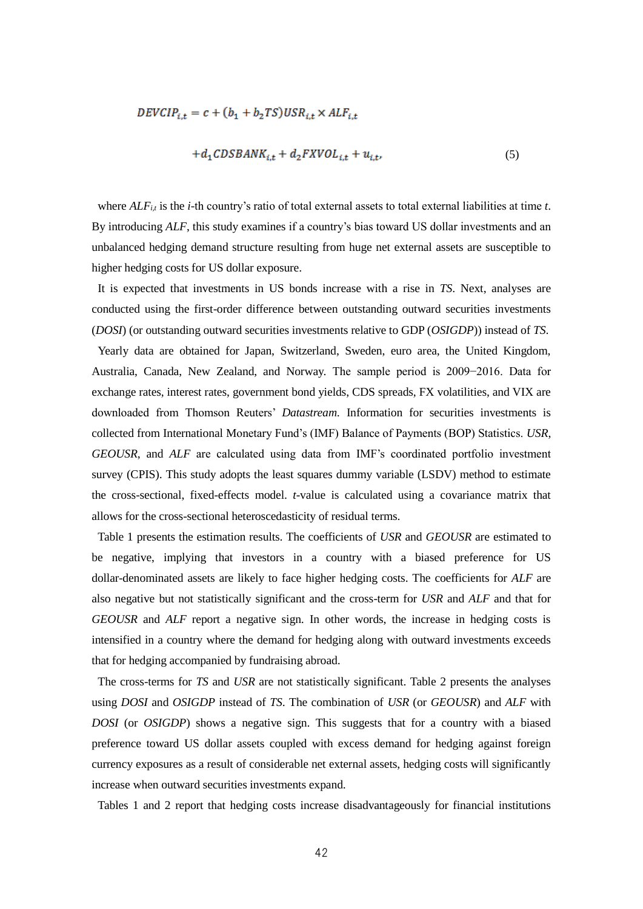$$
DEVCIP_{i,t} = c + (b_1 + b_2 TS)USR_{i,t} \times ALF_{i,t}
$$

$$
+ d_1 CDSBANK_{i,t} + d_2 FXVOL_{i,t} + u_{i,t},
$$
(5)

where  $ALF_{i,t}$  is the *i*-th country's ratio of total external assets to total external liabilities at time *t*. By introducing *ALF*, this study examines if a country's bias toward US dollar investments and an unbalanced hedging demand structure resulting from huge net external assets are susceptible to higher hedging costs for US dollar exposure.

It is expected that investments in US bonds increase with a rise in *TS*. Next, analyses are conducted using the first-order difference between outstanding outward securities investments (*DOSI*) (or outstanding outward securities investments relative to GDP (*OSIGDP*)) instead of *TS*.

Yearly data are obtained for Japan, Switzerland, Sweden, euro area, the United Kingdom, Australia, Canada, New Zealand, and Norway. The sample period is 2009−2016. Data for exchange rates, interest rates, government bond yields, CDS spreads, FX volatilities, and VIX are downloaded from Thomson Reuters' *Datastream*. Information for securities investments is collected from International Monetary Fund's (IMF) Balance of Payments (BOP) Statistics. *USR*, *GEOUSR*, and *ALF* are calculated using data from IMF's coordinated portfolio investment survey (CPIS). This study adopts the least squares dummy variable (LSDV) method to estimate the cross-sectional, fixed-effects model. *t*-value is calculated using a covariance matrix that allows for the cross-sectional heteroscedasticity of residual terms.

Table 1 presents the estimation results. The coefficients of *USR* and *GEOUSR* are estimated to be negative, implying that investors in a country with a biased preference for US dollar-denominated assets are likely to face higher hedging costs. The coefficients for *ALF* are also negative but not statistically significant and the cross-term for *USR* and *ALF* and that for *GEOUSR* and *ALF* report a negative sign. In other words, the increase in hedging costs is intensified in a country where the demand for hedging along with outward investments exceeds that for hedging accompanied by fundraising abroad.

The cross-terms for *TS* and *USR* are not statistically significant. Table 2 presents the analyses using *DOSI* and *OSIGDP* instead of *TS*. The combination of *USR* (or *GEOUSR*) and *ALF* with *DOSI* (or *OSIGDP*) shows a negative sign. This suggests that for a country with a biased preference toward US dollar assets coupled with excess demand for hedging against foreign currency exposures as a result of considerable net external assets, hedging costs will significantly increase when outward securities investments expand.

Tables 1 and 2 report that hedging costs increase disadvantageously for financial institutions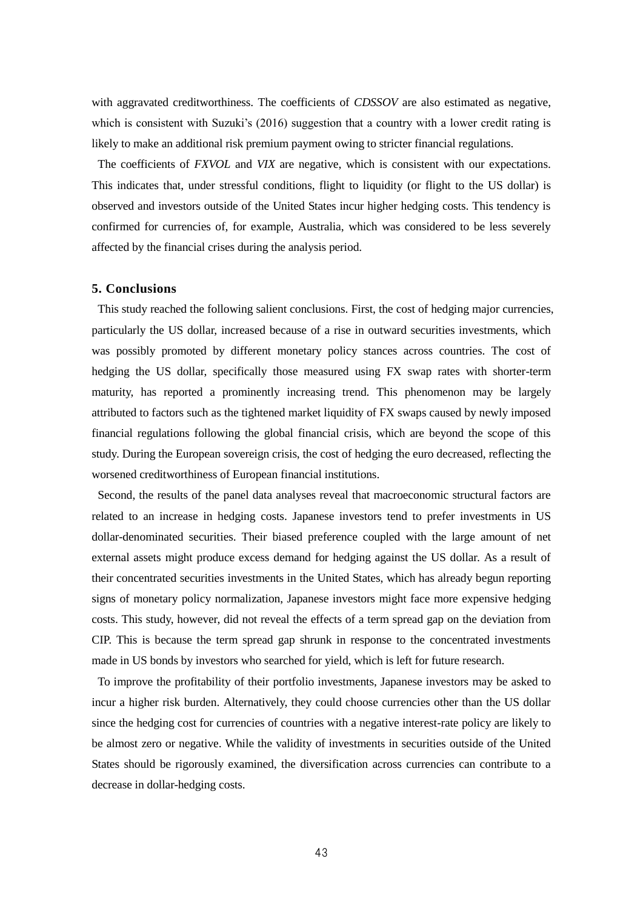with aggravated creditworthiness. The coefficients of *CDSSOV* are also estimated as negative, which is consistent with Suzuki's (2016) suggestion that a country with a lower credit rating is likely to make an additional risk premium payment owing to stricter financial regulations.

The coefficients of *FXVOL* and *VIX* are negative, which is consistent with our expectations. This indicates that, under stressful conditions, flight to liquidity (or flight to the US dollar) is observed and investors outside of the United States incur higher hedging costs. This tendency is confirmed for currencies of, for example, Australia, which was considered to be less severely affected by the financial crises during the analysis period.

#### **5. Conclusions**

This study reached the following salient conclusions. First, the cost of hedging major currencies, particularly the US dollar, increased because of a rise in outward securities investments, which was possibly promoted by different monetary policy stances across countries. The cost of hedging the US dollar, specifically those measured using FX swap rates with shorter-term maturity, has reported a prominently increasing trend. This phenomenon may be largely attributed to factors such as the tightened market liquidity of FX swaps caused by newly imposed financial regulations following the global financial crisis, which are beyond the scope of this study. During the European sovereign crisis, the cost of hedging the euro decreased, reflecting the worsened creditworthiness of European financial institutions.

Second, the results of the panel data analyses reveal that macroeconomic structural factors are related to an increase in hedging costs. Japanese investors tend to prefer investments in US dollar-denominated securities. Their biased preference coupled with the large amount of net external assets might produce excess demand for hedging against the US dollar. As a result of their concentrated securities investments in the United States, which has already begun reporting signs of monetary policy normalization, Japanese investors might face more expensive hedging costs. This study, however, did not reveal the effects of a term spread gap on the deviation from CIP. This is because the term spread gap shrunk in response to the concentrated investments made in US bonds by investors who searched for yield, which is left for future research.

To improve the profitability of their portfolio investments, Japanese investors may be asked to incur a higher risk burden. Alternatively, they could choose currencies other than the US dollar since the hedging cost for currencies of countries with a negative interest-rate policy are likely to be almost zero or negative. While the validity of investments in securities outside of the United States should be rigorously examined, the diversification across currencies can contribute to a decrease in dollar-hedging costs.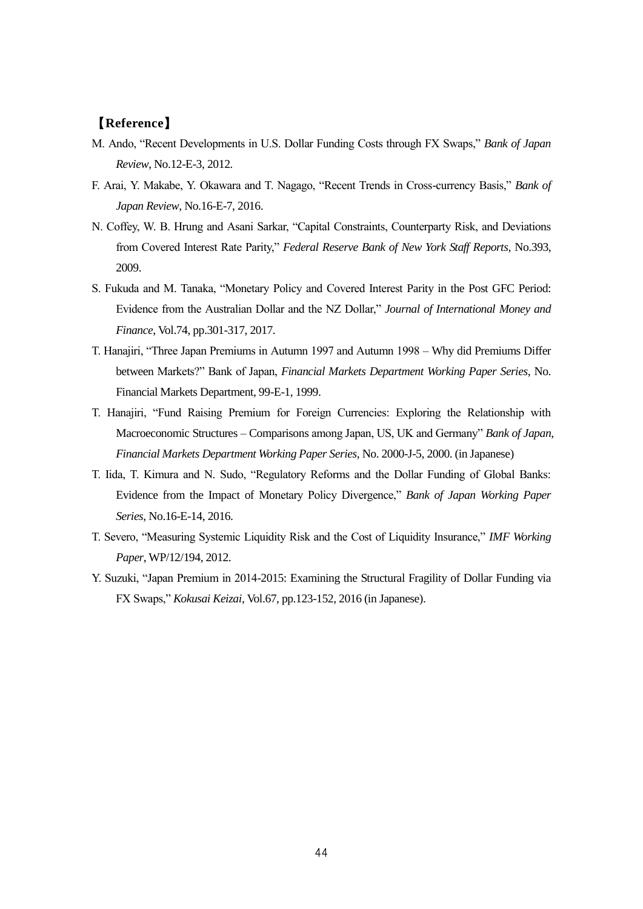### 【**Reference**】

- M. Ando, "Recent Developments in U.S. Dollar Funding Costs through FX Swaps," *Bank of Japan Review*, No.12-E-3, 2012.
- F. Arai, Y. Makabe, Y. Okawara and T. Nagago, "Recent Trends in Cross-currency Basis," *Bank of Japan Review*, No.16-E-7, 2016.
- N. Coffey, W. B. Hrung and Asani Sarkar, "Capital Constraints, Counterparty Risk, and Deviations from Covered Interest Rate Parity," *Federal Reserve Bank of New York Staff Reports*, No.393, 2009.
- S. Fukuda and M. Tanaka, "Monetary Policy and Covered Interest Parity in the Post GFC Period: Evidence from the Australian Dollar and the NZ Dollar," *Journal of International Money and Finance*, Vol.74, pp.301-317, 2017.
- T. Hanajiri, "Three Japan Premiums in Autumn 1997 and Autumn 1998 Why did Premiums Differ between Markets?" Bank of Japan, *Financial Markets Department Working Paper Series*, No. Financial Markets Department, 99-E-1, 1999.
- T. Hanajiri, "Fund Raising Premium for Foreign Currencies: Exploring the Relationship with Macroeconomic Structures – Comparisons among Japan, US, UK and Germany" *Bank of Japan*, *Financial Markets Department Working Paper Series*, No. 2000-J-5, 2000. (in Japanese)
- T. Iida, T. Kimura and N. Sudo, "Regulatory Reforms and the Dollar Funding of Global Banks: Evidence from the Impact of Monetary Policy Divergence," *Bank of Japan Working Paper Series*, No.16-E-14, 2016.
- T. Severo, "Measuring Systemic Liquidity Risk and the Cost of Liquidity Insurance," *IMF Working Paper*, WP/12/194, 2012.
- Y. Suzuki, "Japan Premium in 2014-2015: Examining the Structural Fragility of Dollar Funding via FX Swaps," *Kokusai Keizai*, Vol.67, pp.123-152, 2016 (in Japanese).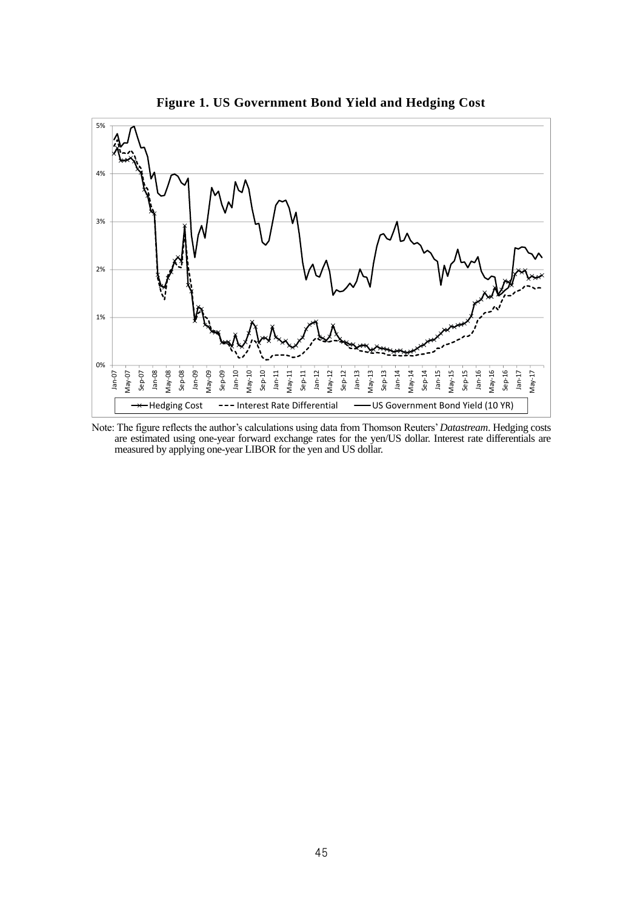

**Figure 1. US Government Bond Yield and Hedging Cost**

Note: The figure reflects the author's calculations using data from Thomson Reuters' *Datastream*. Hedging costs are estimated using one-year forward exchange rates for the yen/US dollar. Interest rate differentials are measured by applying one-year LIBOR for the yen and US dollar.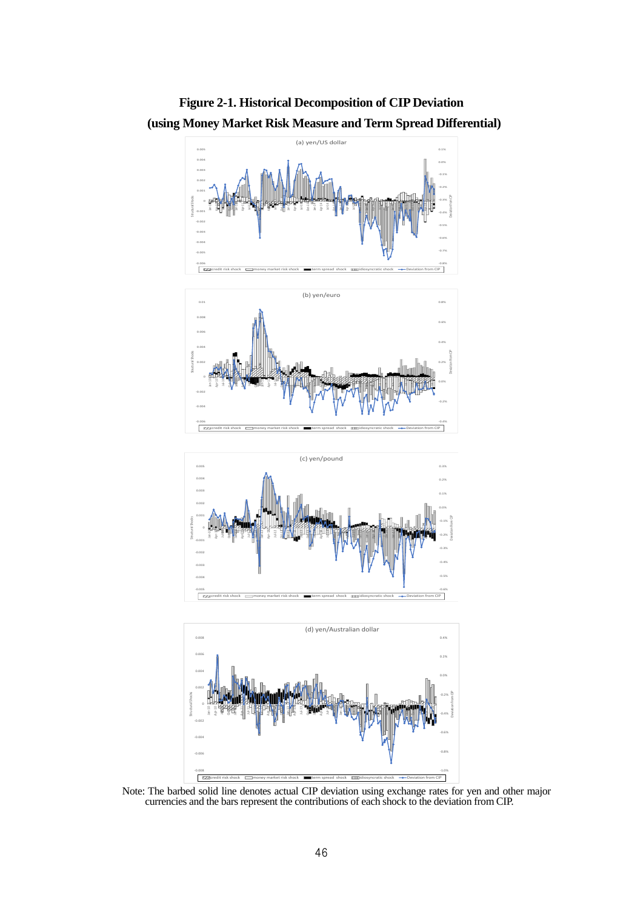



Note: The barbed solid line denotes actual CIP deviation using exchange rates for yen and other major currencies and the bars represent the contributions of each shock to the deviation from CIP.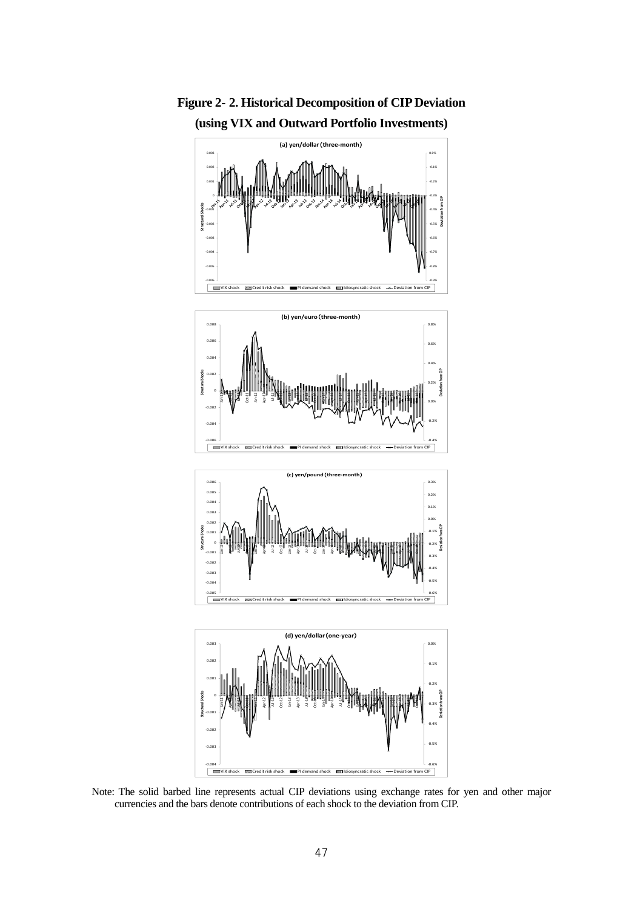

**Figure 2- 2. Historical Decomposition of CIP Deviation (using VIX and Outward Portfolio Investments)**

Note: The solid barbed line represents actual CIP deviations using exchange rates for yen and other major currencies and the bars denote contributions of each shock to the deviation from CIP.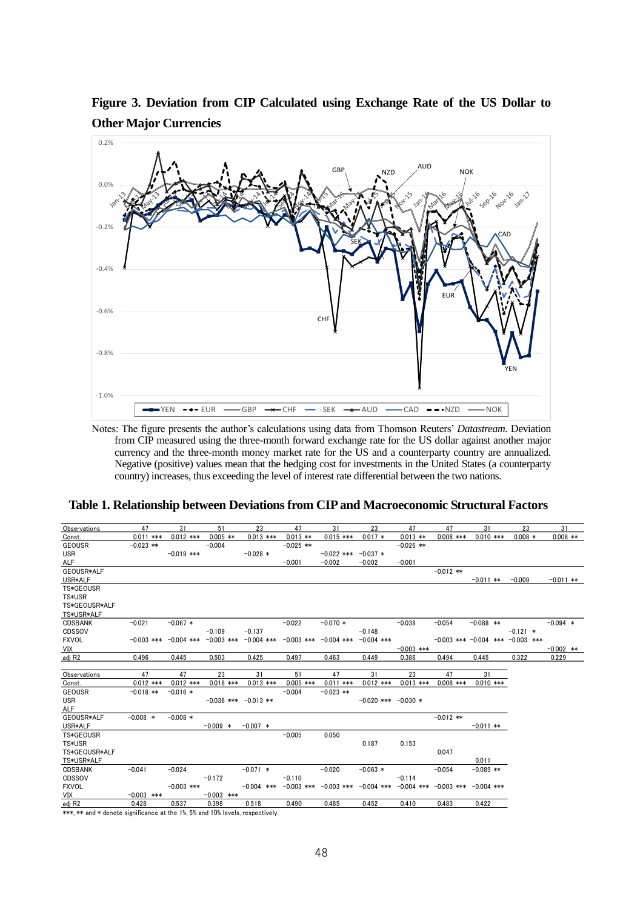**Figure 3. Deviation from CIP Calculated using Exchange Rate of the US Dollar to Other Major Currencies**



Notes: The figure presents the author's calculations using data from Thomson Reuters' *Datastream*. Deviation from CIP measured using the three-month forward exchange rate for the US dollar against another major currency and the three-month money market rate for the US and a counterparty country are annualized. Negative (positive) values mean that the hedging cost for investments in the United States (a counterparty country) increases, thus exceeding the level of interest rate differential between the two nations.

|  |  |  |  | Table 1. Relationship between Deviations from CIP and Macroeconomic Structural Factors |
|--|--|--|--|----------------------------------------------------------------------------------------|
|--|--|--|--|----------------------------------------------------------------------------------------|

| Observations   | 47           | 31           | 51                                                              | 23                                                                                     | 47          | 31           | 23                                                                            | 47           | 47          | 31                                     | 23         | 31          |
|----------------|--------------|--------------|-----------------------------------------------------------------|----------------------------------------------------------------------------------------|-------------|--------------|-------------------------------------------------------------------------------|--------------|-------------|----------------------------------------|------------|-------------|
| Const.         | $0.011$ ***  | $0.012$ ***  | $0.005$ **                                                      | $0.013$ ***                                                                            | $0.013$ **  | $0.015$ ***  | $0.017 *$                                                                     | $0.013$ **   | $0.008$ *** | $0.010$ ***                            | $0.008 *$  | $0.008$ **  |
| <b>GEOUSR</b>  | $-0.023$ **  |              | $-0.004$                                                        |                                                                                        | $-0.025$ ** |              |                                                                               | $-0.026$ **  |             |                                        |            |             |
| <b>USR</b>     |              | $-0.019$ *** |                                                                 | $-0.028$ *                                                                             |             | $-0.022$ *** | $-0.037*$                                                                     |              |             |                                        |            |             |
| <b>ALF</b>     |              |              |                                                                 |                                                                                        | $-0.001$    | $-0.002$     | $-0.002$                                                                      | $-0.001$     |             |                                        |            |             |
| GEOUSR*ALF     |              |              |                                                                 |                                                                                        |             |              |                                                                               |              | $-0.012$ ** |                                        |            |             |
| USR*ALF        |              |              |                                                                 |                                                                                        |             |              |                                                                               |              |             | $-0.011$ **                            | $-0.009$   | $-0.011$ ** |
| TS*GEOUSR      |              |              |                                                                 |                                                                                        |             |              |                                                                               |              |             |                                        |            |             |
| TS*USR         |              |              |                                                                 |                                                                                        |             |              |                                                                               |              |             |                                        |            |             |
| TS*GEOUSR*ALF  |              |              |                                                                 |                                                                                        |             |              |                                                                               |              |             |                                        |            |             |
| TS*USR*ALF     |              |              |                                                                 |                                                                                        |             |              |                                                                               |              |             |                                        |            |             |
| <b>CDSBANK</b> | $-0.021$     | $-0.067*$    |                                                                 |                                                                                        | $-0.022$    | $-0.070*$    |                                                                               | $-0.038$     | $-0.054$    | $-0.088$ **                            |            | $-0.094$ *  |
| CDSSOV         |              |              | $-0.109$                                                        | $-0.137$                                                                               |             |              | $-0.148$                                                                      |              |             |                                        | $-0.121$ * |             |
| <b>FXVOL</b>   |              |              |                                                                 | $-0.003$ *** $-0.004$ *** $-0.003$ *** $-0.004$ *** $-0.003$ *** $-0.004$ *** $-0.004$ |             |              |                                                                               |              |             | $-0.003$ *** $-0.004$ *** $-0.003$ *** |            |             |
| VIX            |              |              |                                                                 |                                                                                        |             |              |                                                                               | $-0.003$ *** |             |                                        |            | $-0.002$ ** |
| adj R2         | 0.496        | 0.445        | 0.503                                                           | 0.425                                                                                  | 0.497       | 0.463        | 0.449                                                                         | 0.386        | 0.494       | 0.445                                  | 0.322      | 0.229       |
|                |              |              |                                                                 |                                                                                        |             |              |                                                                               |              |             |                                        |            |             |
| Observations   | 47           | 47           | 23                                                              | 31                                                                                     | 51          | 47           | 31                                                                            | 23           | 47          | 31                                     |            |             |
| Const.         | $0.012$ ***  | $0.012$ ***  | $0.018$ ***                                                     | $0.013$ ***                                                                            | $0.005$ *** | $0.011$ ***  | $0.012$ ***                                                                   | $0.013$ ***  | $0.008$ *** | $0.010$ ***                            |            |             |
| <b>GEOUSR</b>  | $-0.018$ **  | $-0.016*$    |                                                                 |                                                                                        | $-0.004$    | $-0.023$ **  |                                                                               |              |             |                                        |            |             |
| <b>USR</b>     |              |              | $-0.036$ *** $-0.013$ **                                        |                                                                                        |             |              | $-0.020$ *** $-0.030$ *                                                       |              |             |                                        |            |             |
| ALF            |              |              |                                                                 |                                                                                        |             |              |                                                                               |              |             |                                        |            |             |
| GEOUSR*ALF     | $-0.008$ *   | $-0.008$ *   |                                                                 |                                                                                        |             |              |                                                                               |              | $-0.012$ ** |                                        |            |             |
| USR*ALF        |              |              | $-0.009$ *                                                      | $-0.007$ *                                                                             |             |              |                                                                               |              |             | $-0.011$ **                            |            |             |
| TS*GEOUSR      |              |              |                                                                 |                                                                                        | $-0.005$    | 0.050        |                                                                               |              |             |                                        |            |             |
| TS*USR         |              |              |                                                                 |                                                                                        |             |              | 0.187                                                                         | 0.153        |             |                                        |            |             |
| TS*GEOUSR*ALF  |              |              |                                                                 |                                                                                        |             |              |                                                                               |              | 0.047       |                                        |            |             |
| TS*USR*ALF     |              |              |                                                                 |                                                                                        |             |              |                                                                               |              |             | 0.011                                  |            |             |
| <b>CDSBANK</b> | $-0.041$     | $-0.024$     |                                                                 | $-0.071$ *                                                                             |             | $-0.020$     | $-0.063*$                                                                     |              | $-0.054$    | $-0.089$ **                            |            |             |
| CDSSOV         |              |              | $-0.172$                                                        |                                                                                        | $-0.110$    |              |                                                                               | $-0.114$     |             |                                        |            |             |
| <b>FXVOL</b>   |              | $-0.003$ *** |                                                                 | $-0.004$ ***                                                                           |             |              | $-0.003$ *** $-0.003$ *** $-0.004$ *** $-0.004$ *** $-0.003$ *** $-0.004$ *** |              |             |                                        |            |             |
| VIX            | $-0.003$ *** |              | $-0.003$ ***                                                    |                                                                                        |             |              |                                                                               |              |             |                                        |            |             |
| adj R2         | 0.428        | 0.537        | 0.398                                                           | 0.518                                                                                  | 0.490       | 0.485        | 0.452                                                                         | 0.410        | 0.483       | 0.422                                  |            |             |
| .              | $\sim$       |              | $\mathbf{a}$ and $\mathbf{b}$ and $\mathbf{a}$ and $\mathbf{a}$ | $\sim$ $\sim$ $\sim$ $\sim$                                                            |             |              |                                                                               |              |             |                                        |            |             |

\*\*\*, \*\* and \* denote significance at the 1%, 5% and 10% levels, respectively.